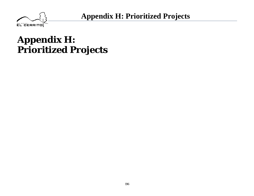

## **Appendix H: Prioritized Projects**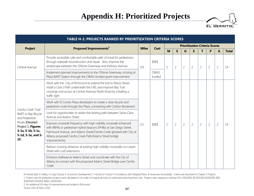

|                                                                                        | TABLE H-1: PROJECTS RANKED BY PRIORITIZATION CRITERIA SCORES                                                                                                                                                                                                                                   |     |                       |                |                |                |                |                |                |                |                |                |    |
|----------------------------------------------------------------------------------------|------------------------------------------------------------------------------------------------------------------------------------------------------------------------------------------------------------------------------------------------------------------------------------------------|-----|-----------------------|----------------|----------------|----------------|----------------|----------------|----------------|----------------|----------------|----------------|----|
|                                                                                        | <b>Prioritization Criteria Scores</b><br>Proposed Improvements <sup>1</sup><br><b>Project</b><br><b>Miles</b><br>Cost                                                                                                                                                                          |     |                       |                |                |                |                |                |                |                |                |                |    |
|                                                                                        |                                                                                                                                                                                                                                                                                                |     |                       | M              | $\mathsf{S}$   | G              | E              | T              | P              | A              | <b>Total</b>   |                |    |
| Central Avenue                                                                         | Provide accessible, safe and comfortable path of travel for pedestrians<br>through sidewalk reconstruction and repair. Also, improve the<br>streetscape between the Ohlone Greenway and Ashbury Avenue.                                                                                        | 0.9 | \$\$\$\$              | $\overline{2}$ | $\overline{2}$ | $\overline{2}$ | $\overline{2}$ | $\overline{2}$ | $\overline{2}$ | $\overline{2}$ | 14             |                |    |
|                                                                                        | Implement planned improvements to the Ohlone Greenway crossing at<br>Plaza BART Station through the OBAG-funded grant improvement                                                                                                                                                              |     | <b>OBAG</b><br>funded |                |                |                |                |                |                |                |                |                |    |
|                                                                                        | Work with the City of Richmond to extend the trail to Pierce Street,<br>install a Class I Path underneath the I-80, and improve Bay Trail<br>crossings and access at Central Avenue/ Rydin Road by installing a<br>traffic light                                                               |     |                       |                |                |                |                |                |                |                |                |                |    |
| Cerrito Creek Trail/                                                                   | Work with El Cerrito Plaza developers to create a clear bicycle and<br>pedestrian route through the Plaza, connecting with Carlson Boulevard                                                                                                                                                   | 0.5 |                       |                |                |                |                |                |                |                |                |                |    |
| <b>BART</b> to Bay Bicycle<br>and Pedestrian                                           | Look for opportunities to widen the existing path between Santa Clara<br>Avenue and Adams Street                                                                                                                                                                                               |     |                       |                |                |                |                |                |                |                |                |                |    |
| Route (Detailed<br>Project 1, Figures<br>5-1a, 5-1b, 5-1c,<br>5-1d, 5-1e, and 5-<br>1f | Improve crosswalk frequency with high-visibility crosswalk enhanced<br>with RRFBs or pedestrian hybrid beacons (PHBs) at San Diego Street,<br>Fairmount Avenue, and Adams Street/Cerrito Creek (phased with City of<br>Albany proposed Cerrito Creek Path/Adams Street bridge<br>improvements) |     |                       |                | \$\$\$\$       | $\overline{2}$ | $\overline{2}$ | $\overline{2}$ | $\overline{2}$ | $\overline{2}$ | $\overline{2}$ | $\overline{2}$ | 14 |
|                                                                                        | Reduce crossing distances at existing high-visibility crosswalks on Lassen<br>Street with curb extensions                                                                                                                                                                                      |     |                       |                |                |                |                |                |                |                |                |                |    |
|                                                                                        | Enhance trailhead at Adams Street and coordinate with the City of<br>Albany to connect with the proposed Adams Street Bridge over Cerrito<br>Creek                                                                                                                                             |     |                       |                |                |                |                |                |                |                |                |                |    |

2. An additional 0.8 miles of improvements are located in Richmond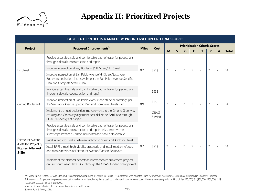

|                                                     | TABLE H-1: PROJECTS RANKED BY PRIORITIZATION CRITERIA SCORES                                                                                                                                            |              |                       |                |                |                |                |                                       |                |                |              |
|-----------------------------------------------------|---------------------------------------------------------------------------------------------------------------------------------------------------------------------------------------------------------|--------------|-----------------------|----------------|----------------|----------------|----------------|---------------------------------------|----------------|----------------|--------------|
| <b>Project</b>                                      | Proposed Improvements <sup>1</sup>                                                                                                                                                                      | Cost         |                       |                |                |                |                | <b>Prioritization Criteria Scores</b> |                |                |              |
|                                                     |                                                                                                                                                                                                         | <b>Miles</b> |                       | M              | $\mathsf{S}$   | G              | E.             | $\mathbf{T}$                          | P              | A              | <b>Total</b> |
|                                                     | Provide accessible, safe and comfortable path of travel for pedestrians<br>through sidewalk reconstruction and repair                                                                                   |              |                       |                |                |                |                |                                       |                |                |              |
| <b>Hill Street</b>                                  | Improve intersection at Key Boulevard/Hill Street/Elm Street                                                                                                                                            | 0.2          | \$\$\$\$              | $\overline{2}$ | $\overline{2}$ | $\overline{2}$ | $\overline{2}$ | $\overline{2}$                        | $\overline{2}$ | $\overline{2}$ | 14           |
|                                                     | Improve intersection at San Pablo Avenue/Hill Street/Eastshore<br>Boulevard and stripe all crosswalks per the San Pablo Avenue Specific<br>Plan and Complete Streets Plan                               | \$\$\$\$     |                       |                |                |                |                |                                       |                |                |              |
|                                                     | Provide accessible, safe and comfortable path of travel for pedestrians<br>through sidewalk reconstruction and repair                                                                                   |              |                       |                |                |                |                |                                       |                |                |              |
| Cutting Boulevard                                   | Improve intersection at San Pablo Avenue and stripe all crossings per<br>the San Pablo Avenue Specific Plan and Complete Streets Plan                                                                   | 0.9          | \$\$\$                | $\overline{2}$ | $\overline{2}$ | $\overline{2}$ | $\overline{2}$ | $\overline{2}$                        | $\overline{2}$ | $\overline{2}$ | 14           |
|                                                     | Implement planned pedestrian improvements to the Ohlone Greenway<br>crossing and Greenway alignment near del Norte BART and through<br>OBAG-funded grant project                                        |              | <b>OBAG</b><br>funded |                |                |                |                |                                       |                |                |              |
|                                                     | Provide accessible, safe and comfortable path of travel for pedestrians<br>through sidewalk reconstruction and repair. Also, improve the<br>streetscape between Carlson Boulevard and San Pablo Avenue. |              |                       |                |                |                |                |                                       |                |                |              |
| Fairmount Avenue                                    | Install raised crosswalks between Richmond Street and Ashbury Street                                                                                                                                    |              |                       |                |                |                |                |                                       |                |                |              |
| (Detailed Project 8,<br>Figures 5-8a and<br>$5-8b)$ | Install RRFBs, mark high-visibility crosswalk, and install median refuges<br>and curb extensions at Fairmount Avenue/Carlson Boulevard                                                                  | 0.7          | \$\$\$\$              | $\overline{2}$ | $\overline{2}$ | $\overline{2}$ | $\overline{2}$ | $\overline{2}$                        | $\overline{2}$ | $\overline{2}$ | 14           |
|                                                     | Implement the planned pedestrian intersection improvement projects<br>on Fairmount near Plaza BART through the OBAG-funded grant project                                                                |              |                       |                |                |                |                |                                       |                |                |              |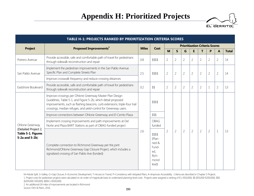

|                                                              | <b>TABLE H-1: PROJECTS RANKED BY PRIORITIZATION CRITERIA SCORES</b>                                                                                                                                                                                                         |              |                                                                       |                |                |                |                |                |                                       |                |              |
|--------------------------------------------------------------|-----------------------------------------------------------------------------------------------------------------------------------------------------------------------------------------------------------------------------------------------------------------------------|--------------|-----------------------------------------------------------------------|----------------|----------------|----------------|----------------|----------------|---------------------------------------|----------------|--------------|
| <b>Project</b>                                               | Proposed Improvements <sup>1</sup>                                                                                                                                                                                                                                          | <b>Miles</b> | Cost                                                                  |                |                |                |                |                | <b>Prioritization Criteria Scores</b> |                |              |
|                                                              |                                                                                                                                                                                                                                                                             |              |                                                                       | M              | $\mathsf{S}$   | G              | E              | т              | P                                     | $\mathbf{A}$   | <b>Total</b> |
| Potrero Avenue                                               | Provide accessible, safe and comfortable path of travel for pedestrians<br>through sidewalk reconstruction and repair                                                                                                                                                       | 0.8          | \$\$\$\$                                                              | $\overline{2}$ | $\overline{2}$ | $\overline{2}$ | $\overline{2}$ | $\overline{2}$ | $\overline{2}$                        | $\overline{2}$ | 14           |
| San Pablo Avenue                                             | Implement the pedestrian improvements in the San Pablo Avenue<br>Specific Plan and Complete Streets Plan                                                                                                                                                                    | 2.5          | \$\$\$\$                                                              | $\overline{2}$ | $\overline{2}$ | $\overline{2}$ | $\overline{2}$ | $\overline{2}$ | $\overline{2}$                        | $\overline{2}$ | 14           |
|                                                              | Improve crosswalk frequency and reduce crossing distances                                                                                                                                                                                                                   |              |                                                                       |                |                |                |                |                |                                       |                |              |
| Eastshore Boulevard                                          | Provide accessible, safe and comfortable path of travel for pedestrians<br>through sidewalk reconstruction and repair                                                                                                                                                       | 0.2          | \$\$                                                                  | $\overline{2}$ | $\overline{2}$ | $\overline{2}$ | $\overline{2}$ | $\overline{2}$ | $\mathbf 1$                           | $\overline{2}$ | 13           |
|                                                              | Improve crossings per Ohlone Greenway Master Plan Design<br>Guidelines, Table 5-1, and Figure 5-2b, which detail proposed<br>improvements, such as flashing beacons, curb extensions, triple-four trail<br>crossings, median refuges, and yield-control for Greenway users. |              | \$\$\$\$                                                              |                |                |                |                |                |                                       |                |              |
|                                                              | Improve connections between Ohlone Greenway and El Cerrito Plaza                                                                                                                                                                                                            |              | \$\$\$<br><b>OBAG</b><br>funded                                       |                |                |                |                |                |                                       |                |              |
| Ohlone Greenway                                              | Implement crossing improvements and path improvements at Del<br>Norte and Plaza BART Stations as part of OBAG-funded project                                                                                                                                                |              |                                                                       |                |                |                |                |                |                                       |                |              |
| (Detailed Project 2,<br>Table 5-1, Figures<br>5-2a and 5-2b) | Complete connection to Richmond Greenway per the joint<br>Richmond/Ohlone Greenway Gap Closure Project, which includes a<br>signalized crossing of San Pablo Ave (funded)                                                                                                   | 2.6          | \$\$\$\$<br>(Plan-<br>ned &<br>Fund-<br>ed,<br>Rich-<br>mond<br>lead) | $\overline{2}$ | $\overline{2}$ | $\overline{2}$ | $\overline{2}$ | $\overline{2}$ | $\overline{2}$                        | $\mathbf{1}$   | 13           |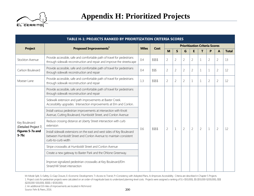

|                                       | <b>TABLE H-1: PROJECTS RANKED BY PRIORITIZATION CRITERIA SCORES</b>                                                                                               |              |          |                |                |                |                                       |                |                |                |              |
|---------------------------------------|-------------------------------------------------------------------------------------------------------------------------------------------------------------------|--------------|----------|----------------|----------------|----------------|---------------------------------------|----------------|----------------|----------------|--------------|
| <b>Project</b>                        | Proposed Improvements <sup>1</sup>                                                                                                                                | <b>Miles</b> | Cost     |                |                |                | <b>Prioritization Criteria Scores</b> |                |                |                |              |
|                                       |                                                                                                                                                                   |              |          | M              | $\mathsf{S}$   | G              | E                                     | т              | P              | A              | <b>Total</b> |
| Stockton Avenue                       | Provide accessible, safe and comfortable path of travel for pedestrians<br>through sidewalk reconstruction and repair and improve the streetscape                 | 0.4          | \$\$\$\$ | $\overline{2}$ | $\overline{2}$ | $\overline{2}$ | $\overline{2}$                        | $\mathbf{1}$   | $\overline{2}$ | $\overline{2}$ | 13           |
| Carlson Boulevard                     | Provide accessible, safe and comfortable path of travel for pedestrians<br>through sidewalk reconstruction and repair                                             | 0.4          | \$\$\$   | $\overline{2}$ | $\overline{2}$ | $\overline{2}$ | $\overline{2}$                        | 1              | $\mathbf 1$    | $\overline{2}$ | 12           |
| Moeser Lane                           | Provide accessible, safe and comfortable path of travel for pedestrians<br>through sidewalk reconstruction and repair                                             | 1.3          | \$\$\$\$ | $\overline{2}$ | 2              | $\overline{2}$ | $\mathbf{1}$                          | 1              | $\overline{2}$ | $\overline{2}$ | 12           |
|                                       | Provide accessible, safe and comfortable path of travel for pedestrians<br>through sidewalk reconstruction and repair                                             |              |          |                |                |                |                                       |                |                |                |              |
|                                       | Sidewalk extension and path improvements at Baxter Creek.<br>Accessibility upgrades. Intersection improvements at Elm and Conlon.                                 | 0.6          |          |                |                |                |                                       |                |                |                |              |
|                                       | Install various pedestrian improvements at intersection with Knott<br>Avenue, Cutting Boulevard, Humboldt Street, and Conlon Avenue                               |              |          |                |                |                |                                       |                |                |                |              |
| Key Boulevard<br>(Detailed Project 7, | Reduce crossing distance at Liberty Street intersection with curb<br>extension                                                                                    |              |          |                |                |                |                                       |                |                |                |              |
| Figures 5-7a and<br>$5-7b$            | Install sidewalk extensions on the east and west sides of Key Boulevard<br>between Humboldt Street and Conlon Avenue to maintain consistent<br>curb-to-curb width |              | \$\$\$\$ | $\overline{2}$ | $\mathbf 1$    | $\overline{2}$ | $\overline{2}$                        | $\overline{2}$ | $\mathbf 1$    | $\overline{2}$ | 12           |
|                                       | Stripe crosswalks at Humboldt Street and Conlon Avenue                                                                                                            |              |          |                |                |                |                                       |                |                |                |              |
|                                       | Create a new gateway to Baxter Park and the Ohlone Greenway.                                                                                                      |              |          |                |                |                |                                       |                |                |                |              |
|                                       | Improve signalized pedestrian crosswalks at Key Boulevard/Elm<br>Street/Hill Street intersection                                                                  |              |          |                |                |                |                                       |                |                |                |              |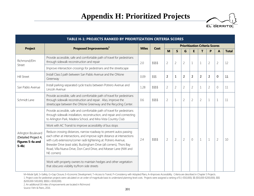

|                                                                            | <b>TABLE H-1: PROJECTS RANKED BY PRIORITIZATION CRITERIA SCORES</b>                                                                                                                                                                                                                                                                                                             |              |          |                |                |                |                |                                       |                |                |                |    |
|----------------------------------------------------------------------------|---------------------------------------------------------------------------------------------------------------------------------------------------------------------------------------------------------------------------------------------------------------------------------------------------------------------------------------------------------------------------------|--------------|----------|----------------|----------------|----------------|----------------|---------------------------------------|----------------|----------------|----------------|----|
| <b>Project</b>                                                             | Proposed Improvements <sup>1</sup>                                                                                                                                                                                                                                                                                                                                              | <b>Miles</b> | Cost     |                |                |                |                | <b>Prioritization Criteria Scores</b> |                |                |                |    |
|                                                                            |                                                                                                                                                                                                                                                                                                                                                                                 |              |          | M              | S              | G              | E              | $\mathbf T$                           | P              | A              | <b>Total</b>   |    |
| Richmond/Elm<br>Street                                                     | Provide accessible, safe and comfortable path of travel for pedestrians<br>through sidewalk reconstruction and repair                                                                                                                                                                                                                                                           | 2.0          | \$\$\$\$ | $\overline{2}$ | $\overline{2}$ | $\overline{2}$ | $\mathbf{1}$   | $\mathbf{1}$                          | $\overline{2}$ | $\overline{2}$ | 12             |    |
|                                                                            | Improve intersection crossings for pedestrians and the streetscape                                                                                                                                                                                                                                                                                                              |              |          |                |                |                |                |                                       |                |                |                |    |
| <b>Hill Street</b>                                                         | Install Class I path between San Pablo Avenue and the Ohlone<br>Greenway                                                                                                                                                                                                                                                                                                        | 0.09         | \$\$\$   | $\overline{2}$ | 1              | $\overline{2}$ | $\overline{2}$ | $\overline{2}$                        | $\overline{2}$ | 0              | 11             |    |
| San Pablo Avenue                                                           | Install parking-separated cycle tracks between Potrero Avenue and<br>Lincoln Avenue                                                                                                                                                                                                                                                                                             | 1.28         | \$\$\$\$ | $\overline{2}$ | $\overline{2}$ | $\overline{2}$ | $\overline{2}$ | $\mathbf 1$                           | $\overline{2}$ | $\Omega$       | 11             |    |
| Schmidt Lane                                                               | Provide accessible, safe and comfortable path of travel for pedestrians<br>through sidewalk reconstruction and repair. Also, improve the<br>streetscape between the Ohlone Greenway and the Recycling Center.                                                                                                                                                                   | 0.6          | \$\$\$\$ | $\overline{2}$ | $\mathbf 1$    | $\overline{2}$ | $\overline{2}$ | $\overline{2}$                        | $\mathbf 1$    | 1              | 11             |    |
|                                                                            | Provide accessible, safe and comfortable path of travel for pedestrians<br>through sidewalk installation, reconstruction, and repair and connecting<br>to Arlington Park, Madera School, and Mira Vista Country Club                                                                                                                                                            |              |          |                |                |                |                |                                       |                |                |                |    |
|                                                                            | Work with AC Transit to improve accessibility of bus stops                                                                                                                                                                                                                                                                                                                      |              |          |                |                |                |                |                                       |                |                |                |    |
| Arlington Boulevard<br>(Detailed Project 4,<br>Figures 5-4a and<br>$5-4b)$ | Reduce crossing distances, narrow roadway to prevent autos passing<br>each other at intersections, and improve sight distance at intersections<br>with curb extensions/corner radii tightening at: Potrero Avenue,<br>Brewster Drive (east side), Buckingham Drive (all corners), Thors Bay<br>Road, Villa Nueva Drive, Don Carol Drive, and Moeser Lane (NW and<br>NE corners) | 2.4          |          | \$\$\$\$       | $\overline{2}$ | $\overline{2}$ | $\overline{2}$ | $\overline{0}$                        | $\mathbf{1}$   | $\mathbf{1}$   | $\overline{2}$ | 10 |
|                                                                            | Work with property owners to maintain hedges and other vegetation<br>that obscures visibility to/from side streets                                                                                                                                                                                                                                                              |              |          |                |                |                |                |                                       |                |                |                |    |

2. An additional 0.8 miles of improvements are located in Richmond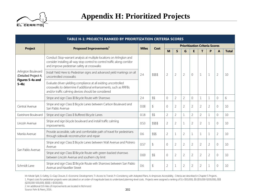

|                                             | <b>TABLE H-1: PROJECTS RANKED BY PRIORITIZATION CRITERIA SCORES</b>                                                                                                                               |              |            |                                               |                |                |                |                |                |                |              |  |
|---------------------------------------------|---------------------------------------------------------------------------------------------------------------------------------------------------------------------------------------------------|--------------|------------|-----------------------------------------------|----------------|----------------|----------------|----------------|----------------|----------------|--------------|--|
| <b>Project</b>                              | Proposed Improvements <sup>1</sup>                                                                                                                                                                | <b>Miles</b> |            | <b>Prioritization Criteria Scores</b><br>Cost |                |                |                |                |                |                |              |  |
|                                             |                                                                                                                                                                                                   |              |            | M                                             | S              | G              | E              | T              | P              | A              | <b>Total</b> |  |
|                                             | Conduct Stop-warrant analysis at multiple locations on Arlington and<br>consider installing all-way stop control to control traffic along corridor<br>and improve pedestrian safety at crosswalks |              |            |                                               |                |                |                |                |                |                |              |  |
| Arlington Boulevard<br>(Detailed Project 4, | Install Yield Here to Pedestrian signs and advanced yield markings on all<br>uncontrolled crosswalks                                                                                              | 2.4          | \$\$\$\$   | $\overline{2}$                                | $\overline{2}$ | $\overline{2}$ | $\overline{0}$ | $\mathbf 1$    | $\mathbf{1}$   | $\overline{2}$ | 10           |  |
| Figures 5-4a and<br>$5-4b)$                 | Evaluate driver-yielding compliance at all existing uncontrolled<br>crosswalks to determine if additional enhancements, such as RRFBs<br>and/or traffic calming devices should be considered      | 2.4          |            |                                               |                |                |                |                |                |                |              |  |
|                                             | Stripe and sign Class III Bicycle Route with Sharrows                                                                                                                                             |              | \$\$       | $\Omega$                                      | $\overline{2}$ | $\overline{2}$ | $\Omega$       | 1              | 1              | $\Omega$       | 6            |  |
| Central Avenue                              | Stripe and sign Class II Bicycle Lanes between Carlson Boulevard and<br>San Pablo Avenue                                                                                                          | 0.08         | $\sqrt{2}$ | $\Omega$                                      | $\overline{2}$ | $\overline{2}$ | $\overline{2}$ | $\overline{2}$ | $\overline{2}$ | $\Omega$       | 10           |  |
| Eastshore Boulevard                         | Stripe and sign Class II Buffered Bicycle Lanes                                                                                                                                                   | 0.18         | \$\$       | $\overline{2}$                                | $\overline{2}$ | $\mathbf{1}$   | $\overline{2}$ | $\overline{2}$ |                | $\Omega$       | 10           |  |
| Lincoln Avenue                              | Stripe and sign bicycle boulevard and install traffic calming<br>improvements.                                                                                                                    | 0.53         | \$\$\$\$   | $\overline{2}$                                | $\overline{2}$ | $\mathbf{1}$   | $\overline{2}$ | $\overline{2}$ | 1              | $\Omega$       | 10           |  |
| Manila Avenue                               | Provide accessible, safe and comfortable path of travel for pedestrians<br>through sidewalk reconstruction and repair                                                                             | 0.6          | \$\$\$     | $\overline{2}$                                | 1              | $\overline{2}$ | $\mathbf{1}$   |                |                | $\overline{2}$ | 10           |  |
|                                             | Stripe and sign Class II Bicycle Lanes between Wall Avenue and Potrero<br>Avenue                                                                                                                  | 0.57         | $\sqrt{2}$ | $\Omega$                                      | $\overline{2}$ | $\overline{2}$ | $\overline{2}$ | $\overline{2}$ | $\overline{2}$ | $\Omega$       | 10           |  |
| San Pablo Avenue                            | Stripe and sign Class III Bicycle Route with green-backed sharrows<br>between Lincoln Avenue and southern city limit                                                                              | 0.69         | \$\$       | $\Omega$                                      | $\overline{2}$ | $\overline{2}$ | $\overline{2}$ | $\overline{2}$ | $\overline{2}$ | $\Omega$       | 10           |  |
| Schmidt Lane                                | Stripe and sign Class III Bicycle Route with Sharrows between San Pablo<br>Avenue and Navellier Street                                                                                            | 0.6          | $\sqrt{2}$ | $\overline{2}$                                | 1              | $\overline{2}$ | $\overline{2}$ | $\overline{2}$ | 1              | $\Omega$       | 10           |  |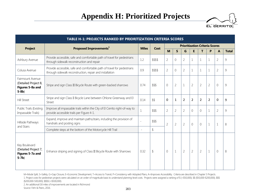

|                                                                         | <b>TABLE H-1: PROJECTS RANKED BY PRIORITIZATION CRITERIA SCORES</b>                                                                 |                          |            |                |                |                |                |                |                                       |                     |              |
|-------------------------------------------------------------------------|-------------------------------------------------------------------------------------------------------------------------------------|--------------------------|------------|----------------|----------------|----------------|----------------|----------------|---------------------------------------|---------------------|--------------|
| <b>Project</b>                                                          | Proposed Improvements <sup>1</sup>                                                                                                  | <b>Miles</b>             | Cost       |                |                |                |                |                | <b>Prioritization Criteria Scores</b> |                     |              |
|                                                                         |                                                                                                                                     |                          |            | M              | $\mathsf{S}$   | G              | E              | T.             | P                                     | $\mathbf{A}$        | <b>Total</b> |
| Ashbury Avenue                                                          | Provide accessible, safe and comfortable path of travel for pedestrians<br>through sidewalk reconstruction and repair               | 1.2                      | \$\$\$\$   | $\overline{2}$ | $\overline{0}$ | $\overline{2}$ | $\mathbf 1$    |                | $\mathbf 1$                           | $\overline{2}$      | 9            |
| Colusa Avenue                                                           | Provide accessible, safe and comfortable path of travel for pedestrians<br>through sidewalk reconstruction, repair and installation | 0.9                      | \$\$\$\$   | $\overline{2}$ | $\Omega$       | $\overline{2}$ | $\mathbf{1}$   |                | $\mathbf 1$                           | $\overline{2}$      | 9            |
| Fairmount Avenue<br>(Detailed Project 8,<br>Figures 5-8a and<br>$5-8b)$ | Stripe and sign Class III Bicycle Route with green-backed sharrows                                                                  | 0.74                     | \$\$\$     | $\sqrt{a}$     | $\overline{2}$ | $\mathbf{1}$   | $\overline{2}$ | $\overline{2}$ | $\overline{2}$                        | $\mathsf{O}\xspace$ | 9            |
| <b>Hill Street</b>                                                      | Stripe and sign Class II Bicycle Lane between Ohlone Greenway and El<br>Street                                                      | 0.14                     | \$\$       | $\mathbf 0$    | $\mathbf{1}$   | $\overline{2}$ | 2              | 2              | $\overline{2}$                        | $\mathbf 0$         | 9            |
| Public Trails (Existing<br>Impassable Trails)                           | Improve all impassable trails within the City of El Cerrito right-of-way to<br>provide accessible trails per Figure 4-1.            |                          | \$\$\$     | $\overline{2}$ | $\overline{2}$ | $\overline{2}$ | $\sqrt{a}$     | 0              | $1\,$                                 | $\overline{2}$      | 9            |
| Hillside Pathways<br>and Stairs                                         | Expand, improve and maintain paths/stairs, including the provision of<br>handrails and posting signs                                |                          | \$\$\$     | $\overline{2}$ | $\overline{2}$ | $\overline{2}$ | $\sqrt{a}$     | $\overline{0}$ | $\mathbf{1}$                          | $\mathbf{1}$        | 8            |
|                                                                         | Complete steps at the bottom of the Motorcycle Hill Trail                                                                           | $\overline{\phantom{a}}$ | $\sqrt{2}$ |                |                |                |                |                |                                       |                     |              |
| Key Boulevard<br>(Detailed Project 7,<br>Figures 5-7a and<br>$5-7b$     | Enhance striping and signing of Class III Bicycle Route with Sharrows                                                               | 0.32                     | $\sqrt{2}$ | $\mathbf 0$    | $\mathbf{1}$   | $\overline{2}$ | $\overline{2}$ | $\overline{2}$ | $\mathbf{1}$                          | $\overline{0}$      | 8            |

2. An additional 0.8 miles of improvements are located in Richmond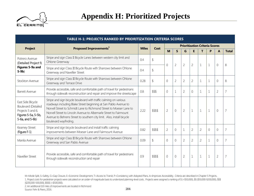

| TABLE H-1: PROJECTS RANKED BY PRIORITIZATION CRITERIA SCORES<br><b>Prioritization Criteria Scores</b>          |                                                                                                                                                                                                                                                                                                                                                                                      |              |            |                |                |                |                |                |              |                |                |  |
|----------------------------------------------------------------------------------------------------------------|--------------------------------------------------------------------------------------------------------------------------------------------------------------------------------------------------------------------------------------------------------------------------------------------------------------------------------------------------------------------------------------|--------------|------------|----------------|----------------|----------------|----------------|----------------|--------------|----------------|----------------|--|
| <b>Project</b>                                                                                                 | Proposed Improvements <sup>1</sup>                                                                                                                                                                                                                                                                                                                                                   | <b>Miles</b> | Cost       |                |                |                |                |                |              |                |                |  |
|                                                                                                                |                                                                                                                                                                                                                                                                                                                                                                                      |              |            | M              | $\mathsf{S}$   | G              | E              | т              | P            | A              | <b>Total</b>   |  |
| Potrero Avenue<br>(Detailed Project 9,                                                                         | Stripe and sign Class II Bicycle Lanes between western city limit and<br>Ohlone Greenway                                                                                                                                                                                                                                                                                             | 0.4          | $\sqrt{2}$ | $\overline{0}$ | $\overline{2}$ | $\overline{2}$ | $\overline{2}$ | $\mathbf{1}$   | $\mathbf{1}$ | $\sqrt{a}$     | 8              |  |
| Figures 5-9a and<br>$5-9b)$                                                                                    | Stripe and sign Class III Bicycle Route with Sharrows between Ohlone<br>Greenway and Navellier Street                                                                                                                                                                                                                                                                                | 0.4          | $\sqrt{2}$ |                |                |                |                |                |              |                |                |  |
| Stockton Avenue                                                                                                | Stripe and sign Class III Bicycle Route with Sharrows between Ohlone<br>Greenway and Terrace Drive                                                                                                                                                                                                                                                                                   | 0.28         | $\sqrt{2}$ | $\mathbf 0$    | $\overline{2}$ | $\overline{2}$ | $\overline{2}$ | $\mathbf 1$    | $\mathbf{1}$ | $\overline{0}$ | 8              |  |
| <b>Barrett Avenue</b>                                                                                          | Provide accessible, safe and comfortable path of travel for pedestrians<br>through sidewalk reconstruction and repair and improve the streetscape                                                                                                                                                                                                                                    | 0.8          | \$\$\$     | 0              | 1              | $\overline{2}$ | $\Omega$       | $\mathbf 1$    | $\mathbf 1$  | $\overline{2}$ |                |  |
| East Side Bicycle<br><b>Boulevard (Detailed</b><br>Projects 5 and 6,<br>Figures 5-5a, 5-5b,<br>5-6a, and 5-6b) | Stripe and sign bicycle boulevard with traffic calming on various<br>roadways including Blake Street beginning at San Pablo Avenue to<br>Norvell Street to Schmidt Lane to Richmond Street to Moeser Lane to<br>Norvell Street to Lincoln Avenue to Albemarle Street to Fairmount<br>Avenue to Behrens Street to southern city limit. Also, install bicycle<br>boulevard wayfinding. | 2.22         | \$\$\$\$   | $\overline{2}$ | $\overline{0}$ | $\overline{2}$ | $\mathbf 1$    | $\mathbf{1}$   | $\mathbf{1}$ | $\sqrt{a}$     | $\overline{7}$ |  |
| Kearney Street<br>(Figure F-1)                                                                                 | Stripe and sign bicycle boulevard and install traffic calming<br>improvements between Moeser Lane and Fairmount Avenue                                                                                                                                                                                                                                                               | 0.82         | \$\$\$\$   | $\overline{2}$ | $\overline{0}$ | $\mathbf{1}$   | $\overline{2}$ | $\overline{2}$ | $\circ$      | $\overline{0}$ |                |  |
| Manila Avenue                                                                                                  | Stripe and sign Class III Bicycle Route with Sharrows between Ohlone<br>Greenway and San Pablo Avenue                                                                                                                                                                                                                                                                                | 0.09         | $\sqrt{2}$ | $\overline{0}$ | $\Omega$       | $\overline{2}$ | $\overline{2}$ | $\overline{2}$ | $\mathbf 1$  | $\Omega$       | 7              |  |
| Navellier Street                                                                                               | Provide accessible, safe and comfortable path of travel for pedestrians<br>through sidewalk reconstruction and repair                                                                                                                                                                                                                                                                | 0.9          | \$\$\$\$   | $\sqrt{a}$     | $\overline{0}$ | $\overline{2}$ | $\mathbf{1}$   | $\mathbf{1}$   | $1\,$        | $\overline{2}$ | $\overline{7}$ |  |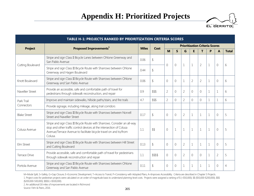

|                      | <b>TABLE H-1: PROJECTS RANKED BY PRIORITIZATION CRITERIA SCORES</b>                                                                                                                                                                |              |          |                |             |                |                |                                       |              |                |              |
|----------------------|------------------------------------------------------------------------------------------------------------------------------------------------------------------------------------------------------------------------------------|--------------|----------|----------------|-------------|----------------|----------------|---------------------------------------|--------------|----------------|--------------|
| <b>Project</b>       | Proposed Improvements <sup>1</sup>                                                                                                                                                                                                 | <b>Miles</b> | Cost     |                |             |                |                | <b>Prioritization Criteria Scores</b> |              |                |              |
|                      |                                                                                                                                                                                                                                    |              |          | M              | S           | G              | E              | т                                     | P            | A              | <b>Total</b> |
|                      | Stripe and sign Class II Bicycle Lanes between Ohlone Greenway and<br>San Pablo Avenue                                                                                                                                             | 0.06         | \$       | $\Omega$       | 0           | $\mathbf{1}$   | $\mathbf{1}$   | $\overline{2}$                        | $\mathbf{1}$ | $\sqrt{0}$     | 6            |
| Cutting Boulevard    | Stripe and sign Class III Bicycle Route with Sharrows between Ohlone<br>Greenway and Hagen Boulevard                                                                                                                               | 0.44         | \$       |                |             |                |                |                                       |              |                |              |
| Knott Boulevard      | Stripe and sign Class III Bicycle Route with Sharrows between Ohlone<br>Greenway and San Pablo Avenue                                                                                                                              | 0.06         | \$       | $\mathbf 0$    | 0           | $\mathbf{1}$   | $\overline{2}$ | $\overline{2}$                        | $\mathbf{1}$ | $\mathbf{0}$   | 6            |
| Navellier Street     | Provide an accessible, safe and comfortable path of travel for<br>pedestrians through sidewalk reconstruction, and repair                                                                                                          | 0.9          | \$\$\$   | $\overline{2}$ | $\Omega$    | $\overline{2}$ | $\mathbf 0$    | 0                                     | $1\,$        | $\mathbf{1}$   | 6            |
| Park Trail           | Improve and maintain sidewalks, hillside paths/stairs, and fire trails                                                                                                                                                             | 4.7          | \$\$\$   | $\overline{2}$ | $\Omega$    | $\overline{2}$ | 0              | $\Omega$                              | $\mathbf 1$  | 1              | 6            |
| Connectors           | Provide signage, including mileage, along trail corridors                                                                                                                                                                          |              |          |                |             |                |                |                                       |              |                |              |
| <b>Blake Street</b>  | Stripe and sign Class III Bicycle Route with Sharrows between Norvell<br>Street and Navellier Street                                                                                                                               | 0.17         | \$       | $\mathbf 0$    | 0           | $\overline{2}$ | $\mathbf{1}$   | $\mathbf{1}$                          | $\mathbf{1}$ | $\sqrt{0}$     | 5            |
| Colusa Avenue        | Stripe and sign Class III Bicycle Route with Sharrows. Consider an all-way<br>stop and other traffic control devices at the intersection of Colusa<br>Avenue/Terrace Avenue to facilitate bicycle travel on and to/from<br>Colusa. | 1.1          | \$\$     | 0              | $\mathbf 1$ | $\mathbf{1}$   | $\mathbf{1}$   | $\mathbf{1}$                          | $\mathbf 1$  | $\overline{0}$ | 5            |
| Elm Street           | Stripe and sign Class III Bicycle Route with Sharrows between Hill Street<br>and Cutting Boulevard                                                                                                                                 | 0.13         | \$       | $\Omega$       | $\Omega$    | $\overline{2}$ | $\mathbf{1}$   | $\mathbf{1}$                          | 1            | $\bigcap$      | 5            |
| <b>Terrace Drive</b> | Provide accessible, safe and comfortable path of travel for pedestrians<br>through sidewalk reconstruction and repair                                                                                                              | 1.1          | \$\$\$\$ | $\Omega$       | $\Omega$    | $\overline{2}$ | $\Omega$       | $\Omega$                              | $\mathbf 1$  | $\overline{2}$ | 5            |
| Portola Avenue       | Stripe and sign Class III Bicycle Route with Sharrows between Ohlone<br>Greenway and San Pablo Avenue                                                                                                                              | 0.11         | S        | $\Omega$       | 0           | $\mathbf{1}$   | 1              | 1                                     | 1            | $\Omega$       | 4            |

2. An additional 0.8 miles of improvements are located in Richmond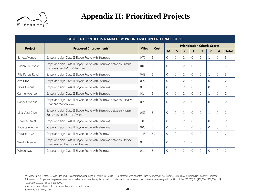

|                      | TABLE H-1: PROJECTS RANKED BY PRIORITIZATION CRITERIA SCORES                                               |              |               |                |             |                |                |                                       |              |                |                |
|----------------------|------------------------------------------------------------------------------------------------------------|--------------|---------------|----------------|-------------|----------------|----------------|---------------------------------------|--------------|----------------|----------------|
|                      | Proposed Improvements <sup>1</sup>                                                                         | <b>Miles</b> | Cost          |                |             |                |                | <b>Prioritization Criteria Scores</b> |              |                |                |
| <b>Project</b>       |                                                                                                            |              |               | M              | S           | G              | E              | т                                     | P            | A              | <b>Total</b>   |
| Barrett Avenue       | Stripe and sign Class III Bicycle Route with Sharrows                                                      | 0.79         | \$            | $\Omega$       | 0           |                | $\Omega$       |                                       |              | $\Omega$       | 3              |
| Hagen Boulevard      | Stripe and sign Class III Bicycle Route with Sharrows between Cutting<br>Boulevard and Mira Vista Drive    | 0.06         | \$            | $\overline{0}$ | 0           | $\overline{2}$ | $\overline{0}$ | 0                                     | $\mathbf{1}$ | $\overline{0}$ | 3              |
| Rifle Range Road     | Stripe and sign Class III Bicycle Route with Sharrows                                                      | 0.48         | $\sqrt{2}$    | 0              | 0           | $\overline{2}$ | $\overline{0}$ | 0                                     | $\mathbf 1$  | $\overline{0}$ | 3              |
| Avis Drive           | Stripe and sign Class III Bicycle Route with Sharrows                                                      | 0.22         | \$            | $\Omega$       | 0           | $\overline{2}$ | $\overline{0}$ | 0                                     | 0            | $\overline{0}$ | $\overline{2}$ |
| Bates Avenue         | Stripe and sign Class III Bicycle Route with Sharrows                                                      | 0.16         | \$            | $\Omega$       | 0           | $\overline{2}$ | $\Omega$       | $\Omega$                              | 0            | $\Omega$       | $\overline{2}$ |
| Carmel Avenue        | Stripe and sign Class III Bicycle Route with Sharrows                                                      | 0.1          | $\sqrt{2}$    | $\Omega$       | $\Omega$    |                | $\Omega$       | $\Omega$                              | $\mathbf{1}$ | $\overline{0}$ | $\overline{2}$ |
| Ganges Avenue        | Stripe and sign Class III Bicycle Route with Sharrows between Fairview<br>Drive and Wilson Way             | 0.28         | $\frac{1}{2}$ | $\overline{0}$ | $\mathbf 0$ | $\overline{2}$ | $\overline{0}$ | $\Omega$                              | 0            | $\mathbf 0$    | $\overline{2}$ |
| Mira Vista Drive     | Stripe and sign Class III Bicycle Route with Sharrows between Hagen<br><b>Boulevard and Barrett Avenue</b> | 0.51         | $\sqrt{2}$    | $\overline{0}$ | 0           | $\mathbf{1}$   | $\Omega$       | $\Omega$                              | $\mathbf{1}$ | $\overline{0}$ | $\overline{2}$ |
| Navellier Street     | Stripe and sign Class III Bicycle Route with Sharrows                                                      | 1.05         | \$\$          | $\Omega$       | 0           | $\overline{2}$ | $\overline{0}$ | 0                                     | $\Omega$     | $\overline{0}$ | $\overline{2}$ |
| Roberta Avenue       | Stripe and sign Class III Bicycle Route with Sharrows                                                      | 0.08         | \$            | $\Omega$       | 0           | $\overline{2}$ | $\Omega$       | $\Omega$                              | 0            | $\Omega$       | $\overline{2}$ |
| <b>Terrace Drive</b> | Stripe and sign Class III Bicycle Route with Sharrows                                                      | 1.45         | \$\$          | $\Omega$       | 0           |                | $\Omega$       | $\Omega$                              |              | $\Omega$       | $\overline{2}$ |
| Waldo Avenue         | Stripe and sign Class III Bicycle Route with Sharrows between Ohlone<br>Greenway and San Pablo Avenue      | 0.13         | \$            | $\overline{0}$ | 0           | $\overline{2}$ | $\overline{0}$ | $\Omega$                              | $\mathbf 1$  | $\overline{0}$ | 3              |
| Wilson Way           | Stripe and sign Class III Bicycle Route with Sharrows                                                      | 0.14         |               | 0              | 0           | $\overline{2}$ | $\overline{0}$ | 0                                     | 0            | $\mathbf 0$    | $\overline{2}$ |